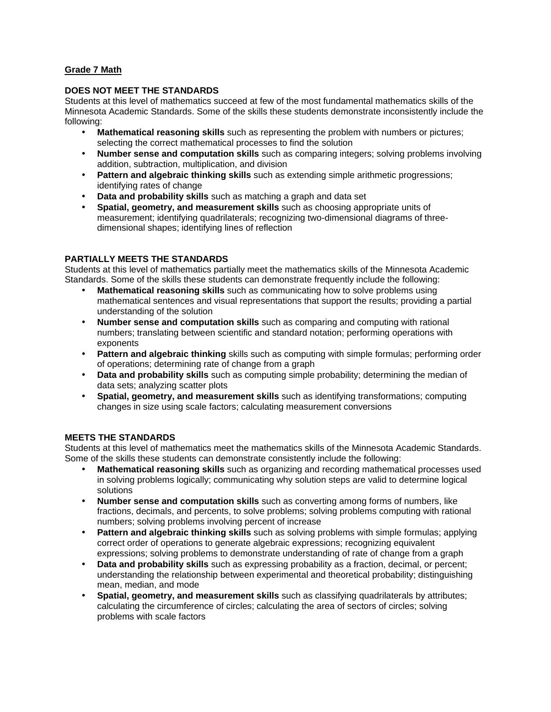# **Grade 7 Math**

### **DOES NOT MEET THE STANDARDS**

Students at this level of mathematics succeed at few of the most fundamental mathematics skills of the Minnesota Academic Standards. Some of the skills these students demonstrate inconsistently include the following:

- **Mathematical reasoning skills** such as representing the problem with numbers or pictures; selecting the correct mathematical processes to find the solution
- **Number sense and computation skills** such as comparing integers; solving problems involving addition, subtraction, multiplication, and division
- **Pattern and algebraic thinking skills** such as extending simple arithmetic progressions; identifying rates of change
- **Data and probability skills** such as matching a graph and data set
- **Spatial, geometry, and measurement skills** such as choosing appropriate units of measurement; identifying quadrilaterals; recognizing two-dimensional diagrams of threedimensional shapes; identifying lines of reflection

## **PARTIALLY MEETS THE STANDARDS**

Students at this level of mathematics partially meet the mathematics skills of the Minnesota Academic Standards. Some of the skills these students can demonstrate frequently include the following:

- **Mathematical reasoning skills** such as communicating how to solve problems using mathematical sentences and visual representations that support the results; providing a partial understanding of the solution
- **Number sense and computation skills** such as comparing and computing with rational numbers; translating between scientific and standard notation; performing operations with exponents
- **Pattern and algebraic thinking** skills such as computing with simple formulas; performing order of operations; determining rate of change from a graph
- **Data and probability skills** such as computing simple probability; determining the median of data sets; analyzing scatter plots
- **Spatial, geometry, and measurement skills** such as identifying transformations; computing changes in size using scale factors; calculating measurement conversions

#### **MEETS THE STANDARDS**

Students at this level of mathematics meet the mathematics skills of the Minnesota Academic Standards. Some of the skills these students can demonstrate consistently include the following:

- **Mathematical reasoning skills** such as organizing and recording mathematical processes used in solving problems logically; communicating why solution steps are valid to determine logical solutions
- **Number sense and computation skills** such as converting among forms of numbers, like fractions, decimals, and percents, to solve problems; solving problems computing with rational numbers; solving problems involving percent of increase
- **Pattern and algebraic thinking skills** such as solving problems with simple formulas; applying correct order of operations to generate algebraic expressions; recognizing equivalent expressions; solving problems to demonstrate understanding of rate of change from a graph
- **Data and probability skills** such as expressing probability as a fraction, decimal, or percent; understanding the relationship between experimental and theoretical probability; distinguishing mean, median, and mode
- **Spatial, geometry, and measurement skills** such as classifying quadrilaterals by attributes; calculating the circumference of circles; calculating the area of sectors of circles; solving problems with scale factors